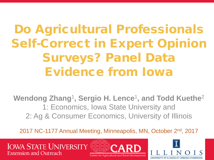Do Agricultural Professionals Self-Correct in Expert Opinion Surveys? Panel Data Evidence from Iowa

Wendong Zhang<sup>1</sup>, Sergio H. Lence<sup>1</sup>, and Todd Kuethe<sup>2</sup> 1: Economics, Iowa State University and 2: Ag & Consumer Economics, University of Illinois

2017 NC-1177 Annual Meeting, Minneapolis, MN, October 2nd, 2017



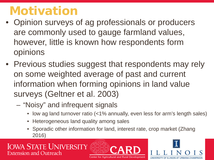### Motivation

- Opinion surveys of ag professionals or producers are commonly used to gauge farmland values, however, little is known how respondents form opinions
- Previous studies suggest that respondents may rely on some weighted average of past and current information when forming opinions in land value surveys (Geltner et al. 2003)
	- "Noisy" and infrequent signals
		- low ag land turnover ratio (<1% annually, even less for arm's length sales)
		- Heterogeneous land quality among sales
		- Sporadic other information for land, interest rate, crop market (Zhang 2016)



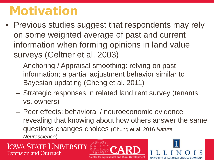### Motivation

- Previous studies suggest that respondents may rely on some weighted average of past and current information when forming opinions in land value surveys (Geltner et al. 2003)
	- Anchoring / Appraisal smoothing: relying on past information; a partial adjustment behavior similar to Bayesian updating (Cheng et al. 2011)
	- Strategic responses in related land rent survey (tenants vs. owners)
	- Peer effects: behavioral / neuroeconomic evidence revealing that knowing about how others answer the same questions changes choices (Chung et al. 2016 *Nature Neuroscience*)



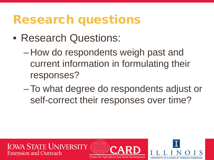#### Research questions

- Research Questions:
	- How do respondents weigh past and current information in formulating their responses?
	- –To what degree do respondents adjust or self-correct their responses over time?

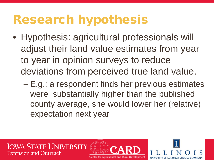### Research hypothesis

- Hypothesis: agricultural professionals will adjust their land value estimates from year to year in opinion surveys to reduce deviations from perceived true land value.
	- E.g.: a respondent finds her previous estimates were substantially higher than the published county average, she would lower her (relative) expectation next year

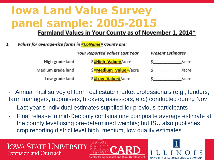#### Iowa Land Value Survey panel sample: 2005-2015

#### Farmland Values in Your County as of November 1, 2014\*

Values for average-size farms in **«CoName**» County are: 1.

|                   | <b>Your Reported Values Last Year</b> | <b>Present Estimates</b> |  |  |
|-------------------|---------------------------------------|--------------------------|--|--|
| High grade land   | S«High Value»/acre                    | /acrei                   |  |  |
| Medium grade land | S«Medium Value»/acre                  | /acre:                   |  |  |
| Low grade land    | S«Low Value»/acre                     | /acrei                   |  |  |

- Annual mail survey of farm real estate market professionals (e.g., lenders, farm managers, appraisers, brokers, assessors, etc.) conducted during Nov
- Last year's individual estimates supplied for previous participants
- Final release in mid-Dec only contains one composite average estimate at the county level using pre-determined weights; but ISU also publishes crop reporting district level high, medium, low quality estimates



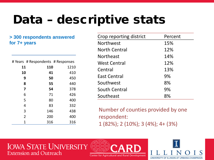# Data – descriptive stats

#### **> 300 respondents answered for 7+ years**

| # Years # Respondents # Responses |     |      |
|-----------------------------------|-----|------|
| 11                                | 110 | 1210 |
| 10                                | 41  | 410  |
| 9                                 | 50  | 450  |
| 8                                 | 55  | 440  |
| 7                                 | 54  | 378  |
| 6                                 | 71  | 426  |
| 5                                 | 80  | 400  |
| 4                                 | 83  | 332  |
| 3                                 | 146 | 438  |
| $\overline{2}$                    | 200 | 400  |
| 1                                 | 316 | 316  |

| Crop reporting district | Percent |
|-------------------------|---------|
| <b>Northwest</b>        | 15%     |
| North Central           | 12%     |
| <b>Northeast</b>        | 14%     |
| <b>West Central</b>     | 12%     |
| Central                 | 13%     |
| <b>East Central</b>     | 9%      |
| Southwest               | 8%      |
| South Central           | 9%      |
| Southeast               | 8%      |

Number of counties provided by one respondent: 1 (82%); 2 (10%); 3 (4%); 4+ (3%)



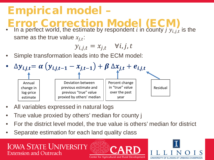#### Empirical model –

- Error Correction Model (ECM)
- In a perfect world, the estimate by respondent *i* in county *j*  $y_{i,j,t}$  is the same as the true value  $x_{i,t}$ :

$$
y_{i,j,t} = x_{j,t} \quad \forall i,j,t
$$

• Simple transformation leads into the ECM model:



- All variables expressed in natural logs
- True value proxied by others' median for county j
- For the district level model, the true value is others' median for district
- Separate estimation for each land quality class



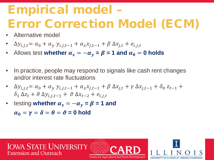# Empirical model – Error Correction Model (ECM)

- Alternative model
- $\Delta y_{i,j,t} = \alpha_0 + \alpha_y y_{i,j,t-1} + \alpha_x x_{i,t-1} + \beta \Delta x_{i,t} + e_{i,j,t}$
- Allows test **whether**  $\alpha_x = -\alpha_y = \beta = 1$  and  $\alpha_0 = 0$  holds
- In practice, people may respond to signals like cash rent changes and/or interest rate fluctuations
- $\Delta y_{i,j,t} = \alpha_0 + \alpha_y y_{i,j,t-1} + \alpha_x x_{i,t-1} + \beta \Delta x_{i,t} + \gamma \Delta x_{i,t-1} + \delta_0 z_{t-1} +$  $\delta_1 \Delta z_t + \theta \Delta y_{i,i,t-1} + \vartheta \Delta x_{t-2} + e_{i,i,t}$
- testing **whether**  $\alpha_x = -\alpha_y = \beta = 1$  and

 $\alpha_0 = \gamma = \delta = \theta = \vartheta = 0$  hold

**IOWA STATE UNIVERSITY Extension and Outreach** Center for Agricultural and Rural Development

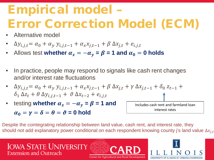# Empirical model – Error Correction Model (ECM)

- Alternative model
- $\Delta y_{i,j,t} = \alpha_0 + \alpha_y y_{i,j,t-1} + \alpha_x x_{i,t-1} + \beta \Delta x_{i,t} + e_{i,j,t}$
- Allows test **whether**  $\alpha_x = -\alpha_y = \beta = 1$  and  $\alpha_0 = 0$  holds
- In practice, people may respond to signals like cash rent changes and/or interest rate fluctuations
- $\Delta y_{i,j,t} = \alpha_0 + \alpha_y y_{i,j,t-1} + \alpha_x x_{i,t-1} + \beta \Delta x_{i,t} + \gamma \Delta x_{i,t-1} + \delta_0 z_{t-1} +$  $\delta_1 \Delta z_t + \theta \Delta y_{i,i,t-1} + \vartheta \Delta x_{t-2} + e_{i,i,t}$
- testing **whether**  $\alpha_x = -\alpha_y = \beta = 1$  and  $\alpha_0 = \gamma = \delta = \theta = \vartheta = 0$  hold

Includes cash rent and farmland loan interest rates

Despite the cointegrating relationship between land value, cash rent, and interest rate, they should not add explanatory power conditional on each respondent knowing county j's land value  $\Delta x_{i,t}$ 

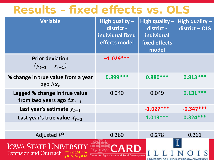#### Results – fixed effects vs. OLS

| <b>Variable</b>                                                                                                                                                                          | High quality -<br>district -<br>individual fixed<br>effects model | High quality $-$<br>district -<br>individual<br><b>fixed effects</b><br>model | High quality -<br>district - OLS |  |  |  |
|------------------------------------------------------------------------------------------------------------------------------------------------------------------------------------------|-------------------------------------------------------------------|-------------------------------------------------------------------------------|----------------------------------|--|--|--|
| <b>Prior deviation</b><br>$(y_{t-1} - x_{t-1})$                                                                                                                                          | $-1.029***$                                                       |                                                                               |                                  |  |  |  |
| % change in true value from a year<br>ago $\Delta x_t$                                                                                                                                   | $0.899***$                                                        | $0.880***$                                                                    | $0.813***$                       |  |  |  |
| Lagged % change in true value<br>from two years ago $\Delta x_{t-1}$                                                                                                                     | 0.040                                                             | 0.049                                                                         | $0.131***$                       |  |  |  |
| Last year's estimate $y_{t-1}$                                                                                                                                                           |                                                                   | $-1.027***$                                                                   | $-0.347***$                      |  |  |  |
| Last year's true value $x_{t-1}$                                                                                                                                                         |                                                                   | $1.013***$                                                                    | $0.324***$                       |  |  |  |
|                                                                                                                                                                                          |                                                                   |                                                                               |                                  |  |  |  |
| Adjusted $R^2$                                                                                                                                                                           | 0.360                                                             | 0.278                                                                         | 0.361                            |  |  |  |
| <b>IOWA STATE UNIV</b><br><b>Extension and Outreach</b><br><b>Center for Agricultural and Rural Development</b><br>$\leq 0.05$ , * $\alpha \leq 0.10$<br><b>I INIVERSITY OF ILLINOIS</b> |                                                                   |                                                                               |                                  |  |  |  |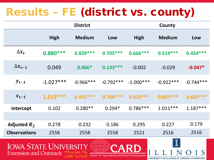### Results – FE (district vs. county)

|                     |             | <b>District</b> |             | County      |               |             |  |
|---------------------|-------------|-----------------|-------------|-------------|---------------|-------------|--|
|                     | <b>High</b> | <b>Medium</b>   | Low         | High        | <b>Medium</b> | Low         |  |
| $\Delta x_t$        | $0.880***$  | $0.839***$      | $0.705***$  | $0.666***$  | $0.519***$    | $0.454***$  |  |
| $\Delta x_{t-1}$    | 0.049       | $0.066*$        | $0.133***$  | $-0.002$    | $-0.029$      | $-0.047*$   |  |
| $y_{t-1}$           | $-1.027***$ | $-0.966***$     | $-0.792***$ | $-1.000***$ | $-0.922***$   | $-0.744***$ |  |
| $x_{t-1}$           | $1.013***$  | $0.931***$      | $0.754***$  | $0.913***$  | $0.807***$    | $0.603***$  |  |
| intercept           | 0.102       | $0.280**$       | $0.294*$    | $0.786***$  | $1.011***$    | $1.187***$  |  |
|                     |             |                 |             |             |               |             |  |
| Adjusted $R_2$      | 0.278       | 0.232           | 0.186       | 0.295       | 0.227         | 0.179       |  |
| <b>Observations</b> | 2558        | 2558            | 2558        | 2521        | 2516          | 2516        |  |

#### **IOWA STATE UNIVERSITY Extension and Outreach**  $***\alpha \leq 0.01, **\alpha$  $\leq$  0.05, \*α $\leq$  0.10



UNIVERSITY OF ILLINOIS AT URBANA-CHAMPAIGN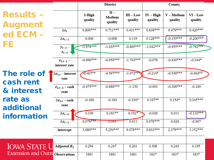|                                         |                                     |                   | <b>District</b>             |                        |                      | County                |                         |  |
|-----------------------------------------|-------------------------------------|-------------------|-----------------------------|------------------------|----------------------|-----------------------|-------------------------|--|
| <b>Results -</b><br><b>Augment</b>      |                                     | I-High<br>quality | $II -$<br>Medium<br>quality | $III - Low$<br>quality | $IV-High$<br>quality | $V-Medium$<br>quality | $VI$ – $Low$<br>quality |  |
| ed ECM -                                | $\Delta x_t$                        | $0.800***$        | $0.711***$                  | $0.431***$             | $0.638***$           | $0.479***$            | $0.420***$              |  |
|                                         | $\Delta x_{t-1}$                    | 0.006             | $-0.008$                    | 0.119                  | $0.128***$           | $-0.155***$           | $-0.200***$             |  |
| FE                                      | $y_{t-1}$ -<br>$x_{t-1}$            | $-1.078***$       | $-1.035***$                 | $-0.865***$            | $-1.042***$          | $-0.955***$           | $-0.792***$             |  |
|                                         | $z_{1,t-1} -$<br>interest rate      | $-0.696***$       | $-0.950***$                 | $-1.743***$            | $-0.078$             | $-0.430***$           | $-0.344*$               |  |
| The role of                             | $\Delta z_{1,t}$ – interest<br>rate | $-0.407**$        | $-0.597***$                 | $-1.073***$            | $-0.214*$            | $-0.549***$           | $-0.404**$              |  |
| cash rent<br>& interest                 | $z_{2,t-1}$ – cash<br>rent          | $-0.475***$       | $-0.688***$                 | $-1.150$               | $-0.093$             | $-0.308***$           | $-0.169$                |  |
| rate as<br>additional                   | $\Delta z_{2,t}$ – cash<br>rent     | $-0.160$          | $-0.184$                    | $-0.330*$              | $0.167**$            | $0.154*$              | $0.345***$              |  |
| <b>information</b>                      | $\Delta x_{t-2}$                    | 0.109             | $0.161**$                   | $0.192*$               | $-0.036$             | 0.011                 | $-0.110***$             |  |
|                                         | $\Delta y_{t-1}$                    | $0.079***$        | 0.044                       | 0.011                  | $0.079***$           | 0.026                 | $-0.007$                |  |
|                                         | intercept                           | 3.680***          | $5.254***$                  | 9.078***               | $0.633***$           | 2.379***              | $1.152***$              |  |
|                                         |                                     |                   |                             |                        |                      |                       |                         |  |
| <b>IOWA STATE U Adjusted R2</b>         |                                     | 0.294             | 0.247                       | 0.201                  | 0.308                | 0.243                 | 0.195                   |  |
| <b>Extension and Outre Observations</b> |                                     | 1881              | 1881                        | 1881                   | 1837                 | 1837                  | 1837                    |  |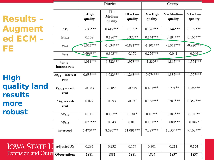Result Augme ed EC **FE** 

High quality results more robust

|                                         |                                     |                   | <b>District</b>             |                        |                      | County                |                         |  |
|-----------------------------------------|-------------------------------------|-------------------|-----------------------------|------------------------|----------------------|-----------------------|-------------------------|--|
| <b>Results –</b>                        |                                     | I-High<br>quality | $II -$<br>Medium<br>quality | $III - Low$<br>quality | $IV-High$<br>quality | $V-Medium$<br>quality | $VI$ – $Low$<br>quality |  |
| <b>Augment</b>                          | $\Delta x_t$                        | $0.633***$        | $0.417***$                  | $0.179*$               | $0.326***$           | $0.144***$            | $0.127***$              |  |
| <b>ed ECM</b>                           | $\Delta x_{t-1}$                    | 0.108             | $0.186**$                   | $0.322**$              | $0.144***$           | $0.194***$            | $0.167***$              |  |
| ΞE                                      | $y_{t-1}$                           | $-1.075***$       | $-1.034***$                 | $-0.881***$            | $-1.101***$          | $-1.073***$           | $-0.920***$             |  |
|                                         | $x_{t-1}$                           | $0.696***$        | $0.363**$                   | 0.179                  | $0.276***$           | 0.041                 | 0.046                   |  |
|                                         | $z_{1,t-1} -$<br>interest rate      | $-1.011***$       | $-1.522***$                 | $-1.978***$            | $-1.330**$           | $-1.867***$           | $-1.574***$             |  |
| ligh                                    | $\Delta z_{1,t}$ – interest<br>rate | $-0.638***$       | $-1.022***$                 | $-1.263***$            | $-0.974***$          | $-1.387***$           | $-1.077***$             |  |
| uality land<br>esults                   | $z_{2,t-1}$ – cash<br>rent          | $-0.083$          | $-0.053$                    | $-0.375$               | $0.401***$           | $0.271**$             | $0.266**$               |  |
| nore                                    | $\Delta z_{2,t}$ – cash<br>rent     | 0.027             | 0.093                       | $-0.031$               | $0.336***$           | $0.287***$            | $0.357***$              |  |
| <b>obust</b>                            | $\Delta x_{t-2}$                    | 0.118             | $0.182**$                   | $0.181*$               | $0.102**$            | $0.183***$            | $0.100**$               |  |
|                                         | $\Delta y_{t-1}$                    | $0.077***$        | 0.043                       | 0.018                  | $0.101***$           | $0.080***$            | $0.047*$                |  |
|                                         | intercept                           | 5.470***          | 8.580***                    | 11.091***              | 7.387***             | $10.534***$           | $9.162***$              |  |
|                                         |                                     |                   |                             |                        |                      |                       |                         |  |
| <b>IOWA STATE U</b>                     | Adjusted $R_2$                      | 0.295             | 0.232                       | 0.174                  | 0.301                | 0.211                 | 0.164                   |  |
| <b>Extension and Outre Observations</b> |                                     | 1881              | 1881                        | 1881                   | 1837                 | 1837                  | 1837                    |  |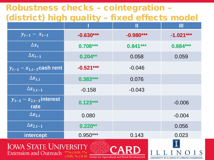#### Robustness checks – cointegration – (district) high quality – fixed effects model

|                                                                                       |             | Ш           | Ш           |
|---------------------------------------------------------------------------------------|-------------|-------------|-------------|
| $y_{t-1} - x_{t-1}$                                                                   | $-0.630***$ | $-0.980***$ | $-1.021***$ |
| $\Delta x_t$                                                                          | $0.708***$  | $0.841***$  | $0.884***$  |
| $\Delta x_{t-1}$                                                                      | $0.204**$   | 0.058       | 0.059       |
| $\overline{y_{t-1} - z_{1,t-1}}$ cash rent                                            | $-0.521***$ | $-0.046$    |             |
| $\Delta z_{1,t}$                                                                      | $0.383***$  | 0.076       |             |
| $\Delta z_{1,t-1}$                                                                    | $-0.158$    | $-0.043$    |             |
| $\overline{y_{t-1} - z_{2,t-1}}$ interest<br>rate                                     | $0.123***$  |             | $-0.006$    |
| $\Delta z_{2,t}$                                                                      | 0.080       |             | $-0.004$    |
| $\Delta z_{2,t-1}$                                                                    | $0.220**$   |             | 0.056       |
| <b>intercept</b>                                                                      | $0.950***$  | 0.143       | 0.023       |
| <b>IOWA STATE UNIV</b><br>Extension and Outreach *** $\alpha \leq 0.01$ , ** $\alpha$ |             |             |             |

 $\leq 0.05$ ,  $\alpha \leq 0.10$  Center for Agricultural and Rural Development

UNIVERSITY OF ILLINOIS AT URBANA-CHAMPAIGN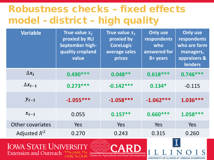#### Robustness checks – fixed effects model - district – high quality

| <b>Variable</b>                       | True value $x_t$<br>proxied by RLI<br><b>September high-</b><br>quality cropland<br>value | True value $x_t$<br>proxied by<br><b>CoreLogic</b><br>average sales<br>prices | <b>Only use</b><br>respondents<br>who<br>answered for<br>8+ years | <b>Only use</b><br>respondents<br>who are farm<br>managers,<br>appraisers &<br><b>lenders</b> |  |  |
|---------------------------------------|-------------------------------------------------------------------------------------------|-------------------------------------------------------------------------------|-------------------------------------------------------------------|-----------------------------------------------------------------------------------------------|--|--|
| $\Delta x_t$                          | $0.490***$                                                                                | $0.048**$                                                                     | $0.618***$                                                        | $0.746***$                                                                                    |  |  |
| $\Delta x_{t-1}$                      | $0.273***$                                                                                | $-0.142***$                                                                   | $0.134*$                                                          | $-0.115$                                                                                      |  |  |
| $y_{t-1}$                             | $-1.055***$                                                                               | $-1.058***$                                                                   | $-1.062***$                                                       | 1.036 ***                                                                                     |  |  |
| $x_{t-1}$                             | 0.055                                                                                     | $0.157**$                                                                     | $0.660***$                                                        | $1.058***$                                                                                    |  |  |
| Other covariates                      | Yes                                                                                       | Yes                                                                           | Yes                                                               | Yes                                                                                           |  |  |
| Adjusted $R^2$                        | 0.270                                                                                     | 0.243                                                                         | 0.315                                                             | 0.260                                                                                         |  |  |
| Iowa State Hniversity<br>$\alpha$ adn |                                                                                           |                                                                               |                                                                   |                                                                                               |  |  |

**Extension and Outreach**  $***\alpha \leq 0.01, **\alpha$  $\leq$  0.05, \*α $\leq$  0.10



UNIVERSITY OF ILLINOIS AT URBANA-CHAMPAIGN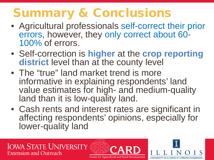## Summary & Conclusions

- Agricultural professionals self-correct their prior errors, however, they only correct about 60-<br>100% of errors.
- Self-correction is **higher** at the **crop reporting district** level than at the county level
- The "true" land market trend is more informative in explaining respondents' land value estimates for high- and medium-quality land than it is low-quality land.
- Cash rents and interest rates are significant in affecting respondents' opinions, especially for lower-quality land



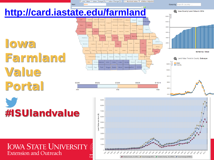